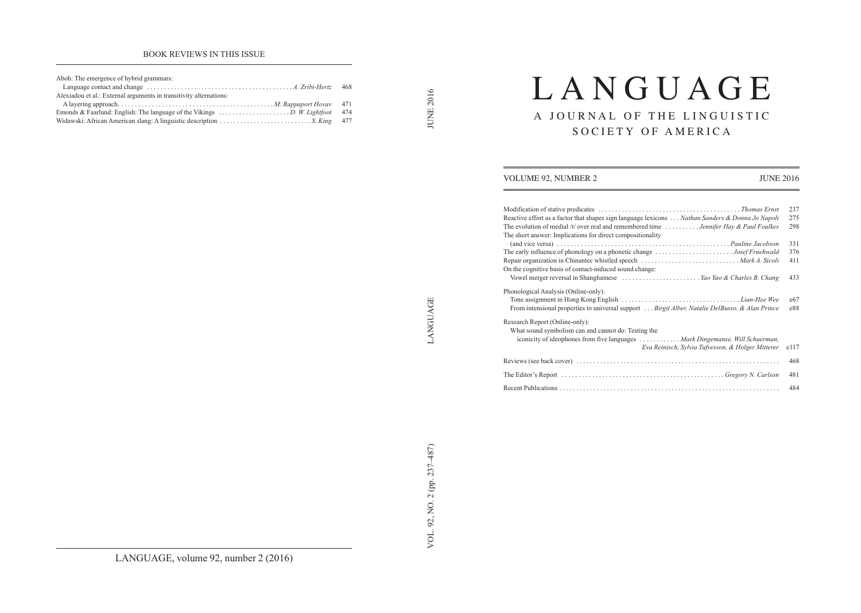## BOOK REVIEWS IN THIS ISSUE

| 468   |
|-------|
|       |
| - 471 |
| 474   |
| 477   |
|       |

 JUN E 2016

# L A N G U A G E

A JOURNAL OF THE LINGUISTIC SOCIETY OF AMERICA

| VOLUME 92, NUMBER 2<br><b>JUNE 2016</b>                                                                   |      |
|-----------------------------------------------------------------------------------------------------------|------|
|                                                                                                           |      |
|                                                                                                           | 237  |
| Reactive effort as a factor that shapes sign language lexicons Nathan Sanders & Donna Jo Napoli           | 275  |
| The evolution of medial /t/ over real and remembered time $\dots \dots \dots$ Jennifer Hay & Paul Foulkes | 298  |
| The short answer: Implications for direct compositionality                                                | 331  |
| The early influence of phonology on a phonetic change Josef Fruehwald                                     | 376  |
|                                                                                                           | 411  |
| On the cognitive basis of contact-induced sound change:                                                   |      |
| Vowel merger reversal in Shanghainese  Yao Yao & Charles B. Chang                                         | 433  |
| Phonological Analysis (Online-only):                                                                      |      |
|                                                                                                           | e67  |
| From intensional properties to universal support Birgit Alber, Natalie DelBusso, & Alan Prince            | e88  |
| Research Report (Online-only):                                                                            |      |
| What sound symbolism can and cannot do: Testing the                                                       |      |
| iconicity of ideophones from five languages  Mark Dingemanse, Will Schuerman,                             |      |
| Eva Reinisch, Sylvia Tufvesson, & Holger Mitterer                                                         | e117 |
|                                                                                                           | 468  |
|                                                                                                           | 481  |
|                                                                                                           | 484  |

AN G U  $\blacktriangle$ G  $\Box$ 

L. 92, N O. 2 (p p. 237–487)  $L$ 

> $\geq$  $\circ$